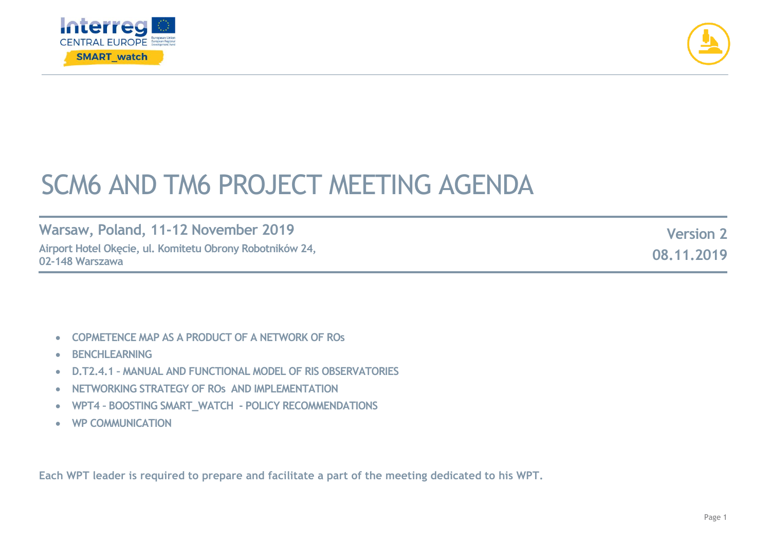



## SCM6 AND TM6 PROJECT MEETING AGENDA

**Warsaw, Poland, 11-12 November 2019 Airport Hotel Okęcie, ul. Komitetu Obrony Robotników 24, 02-148 Warszawa** 

**Version 2 08.11.2019**

- **COPMETENCE MAP AS A PRODUCT OF A NETWORK OF ROs**
- **BENCHLEARNING**
- **D.T2.4.1 – MANUAL AND FUNCTIONAL MODEL OF RIS OBSERVATORIES**
- **NETWORKING STRATEGY OF ROs AND IMPLEMENTATION**
- **WPT4 – BOOSTING SMART\_WATCH - POLICY RECOMMENDATIONS**
- **WP COMMUNICATION**

**Each WPT leader is required to prepare and facilitate a part of the meeting dedicated to his WPT.**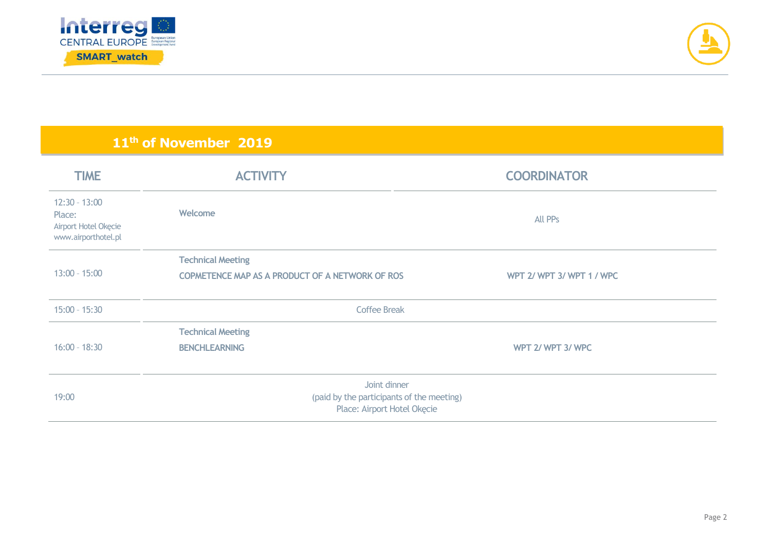



## **11th of November 2019**

| <b>TIME</b>                                                              | <b>ACTIVITY</b>                                                                          | <b>COORDINATOR</b>       |
|--------------------------------------------------------------------------|------------------------------------------------------------------------------------------|--------------------------|
| $12:30 - 13:00$<br>Place:<br>Airport Hotel Okęcie<br>www.airporthotel.pl | Welcome                                                                                  | All PPs                  |
| $13:00 - 15:00$                                                          | <b>Technical Meeting</b><br>COPMETENCE MAP AS A PRODUCT OF A NETWORK OF ROS              | WPT 2/ WPT 3/ WPT 1/ WPC |
| $15:00 - 15:30$                                                          | <b>Coffee Break</b>                                                                      |                          |
| $16:00 - 18:30$                                                          | <b>Technical Meeting</b><br><b>BENCHLEARNING</b>                                         | WPT 2/ WPT 3/ WPC        |
| 19:00                                                                    | Joint dinner<br>(paid by the participants of the meeting)<br>Place: Airport Hotel Okęcie |                          |